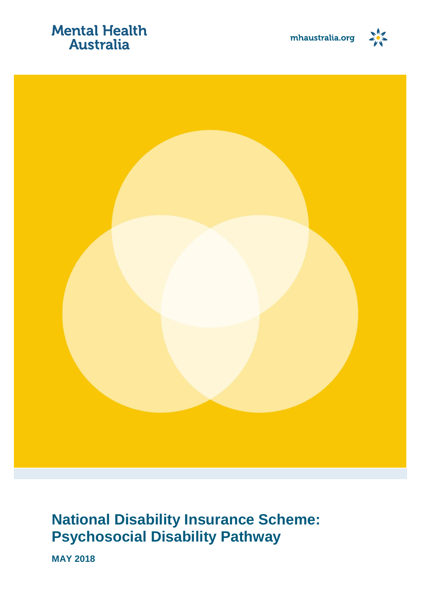## **Mental Health Australia**





## **National Disability Insurance Scheme: Psychosocial Disability Pathway**

**MAY 2018**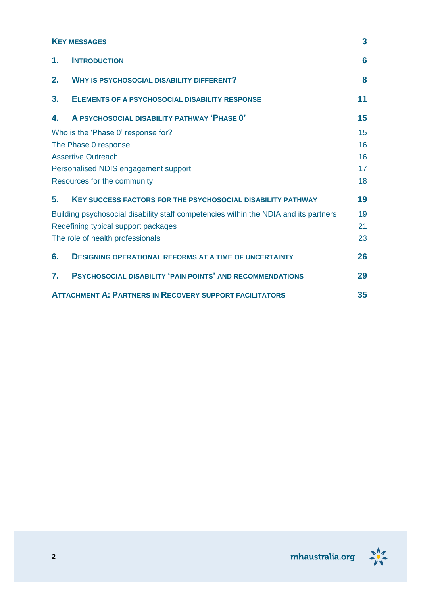#### **K[EY MESSAGES](#page-2-0) 3**

| 1. | <b>INTRODUCTION</b>                                                                  | 6  |  |
|----|--------------------------------------------------------------------------------------|----|--|
| 2. | <b>WHY IS PSYCHOSOCIAL DISABILITY DIFFERENT?</b>                                     | 8  |  |
| 3. | <b>ELEMENTS OF A PSYCHOSOCIAL DISABILITY RESPONSE</b>                                | 11 |  |
| 4. | A PSYCHOSOCIAL DISABILITY PATHWAY 'PHASE 0'                                          | 15 |  |
|    | Who is the 'Phase 0' response for?                                                   | 15 |  |
|    | The Phase 0 response                                                                 | 16 |  |
|    | <b>Assertive Outreach</b>                                                            | 16 |  |
|    | Personalised NDIS engagement support                                                 | 17 |  |
|    | Resources for the community                                                          | 18 |  |
| 5. | <b>KEY SUCCESS FACTORS FOR THE PSYCHOSOCIAL DISABILITY PATHWAY</b>                   | 19 |  |
|    | Building psychosocial disability staff competencies within the NDIA and its partners |    |  |
|    | Redefining typical support packages                                                  | 21 |  |
|    | The role of health professionals                                                     | 23 |  |
| 6. | <b>DESIGNING OPERATIONAL REFORMS AT A TIME OF UNCERTAINTY</b>                        | 26 |  |
| 7. | PSYCHOSOCIAL DISABILITY 'PAIN POINTS' AND RECOMMENDATIONS                            | 29 |  |
|    | <b>ATTACHMENT A: PARTNERS IN RECOVERY SUPPORT FACILITATORS</b>                       | 35 |  |

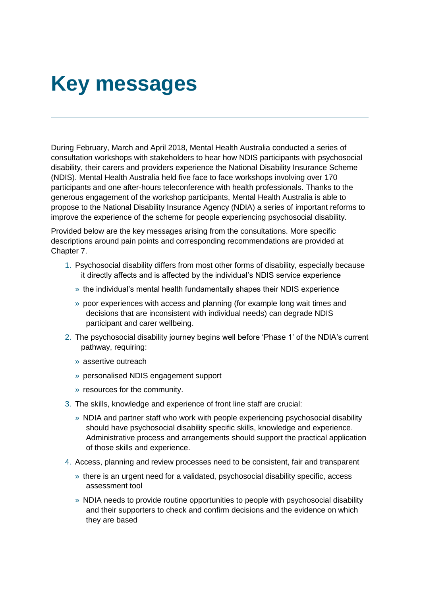## <span id="page-2-0"></span>**Key messages**

During February, March and April 2018, Mental Health Australia conducted a series of consultation workshops with stakeholders to hear how NDIS participants with psychosocial disability, their carers and providers experience the National Disability Insurance Scheme (NDIS). Mental Health Australia held five face to face workshops involving over 170 participants and one after-hours teleconference with health professionals. Thanks to the generous engagement of the workshop participants, Mental Health Australia is able to propose to the National Disability Insurance Agency (NDIA) a series of important reforms to improve the experience of the scheme for people experiencing psychosocial disability.

Provided below are the key messages arising from the consultations. More specific descriptions around pain points and corresponding recommendations are provided at Chapter 7.

- 1. Psychosocial disability differs from most other forms of disability, especially because it directly affects and is affected by the individual's NDIS service experience
	- » the individual's mental health fundamentally shapes their NDIS experience
	- » poor experiences with access and planning (for example long wait times and decisions that are inconsistent with individual needs) can degrade NDIS participant and carer wellbeing.
- 2. The psychosocial disability journey begins well before 'Phase 1' of the NDIA's current pathway, requiring:
	- » assertive outreach
	- » personalised NDIS engagement support
	- » resources for the community.
- 3. The skills, knowledge and experience of front line staff are crucial:
	- » NDIA and partner staff who work with people experiencing psychosocial disability should have psychosocial disability specific skills, knowledge and experience. Administrative process and arrangements should support the practical application of those skills and experience.
- 4. Access, planning and review processes need to be consistent, fair and transparent
	- » there is an urgent need for a validated, psychosocial disability specific, access assessment tool
	- » NDIA needs to provide routine opportunities to people with psychosocial disability and their supporters to check and confirm decisions and the evidence on which they are based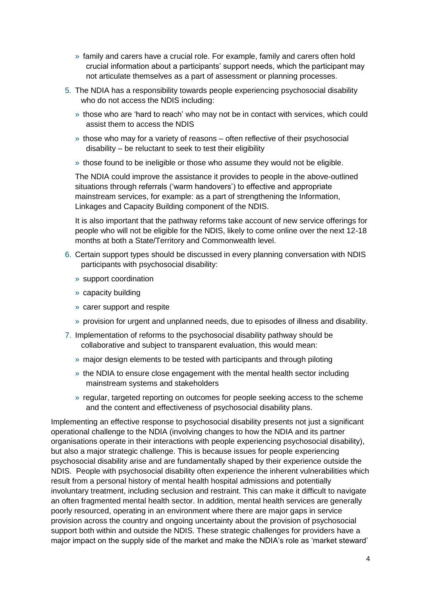- » family and carers have a crucial role. For example, family and carers often hold crucial information about a participants' support needs, which the participant may not articulate themselves as a part of assessment or planning processes.
- 5. The NDIA has a responsibility towards people experiencing psychosocial disability who do not access the NDIS including:
	- » those who are 'hard to reach' who may not be in contact with services, which could assist them to access the NDIS
	- » those who may for a variety of reasons often reflective of their psychosocial disability – be reluctant to seek to test their eligibility
	- » those found to be ineligible or those who assume they would not be eligible.

The NDIA could improve the assistance it provides to people in the above-outlined situations through referrals ('warm handovers') to effective and appropriate mainstream services, for example: as a part of strengthening the Information, Linkages and Capacity Building component of the NDIS.

It is also important that the pathway reforms take account of new service offerings for people who will not be eligible for the NDIS, likely to come online over the next 12-18 months at both a State/Territory and Commonwealth level.

- 6. Certain support types should be discussed in every planning conversation with NDIS participants with psychosocial disability:
	- » support coordination
	- » capacity building
	- » carer support and respite
	- » provision for urgent and unplanned needs, due to episodes of illness and disability.
- 7. Implementation of reforms to the psychosocial disability pathway should be collaborative and subject to transparent evaluation, this would mean:
	- » major design elements to be tested with participants and through piloting
	- » the NDIA to ensure close engagement with the mental health sector including mainstream systems and stakeholders
	- » regular, targeted reporting on outcomes for people seeking access to the scheme and the content and effectiveness of psychosocial disability plans.

Implementing an effective response to psychosocial disability presents not just a significant operational challenge to the NDIA (involving changes to how the NDIA and its partner organisations operate in their interactions with people experiencing psychosocial disability), but also a major strategic challenge. This is because issues for people experiencing psychosocial disability arise and are fundamentally shaped by their experience outside the NDIS. People with psychosocial disability often experience the inherent vulnerabilities which result from a personal history of mental health hospital admissions and potentially involuntary treatment, including seclusion and restraint. This can make it difficult to navigate an often fragmented mental health sector. In addition, mental health services are generally poorly resourced, operating in an environment where there are major gaps in service provision across the country and ongoing uncertainty about the provision of psychosocial support both within and outside the NDIS. These strategic challenges for providers have a major impact on the supply side of the market and make the NDIA's role as 'market steward'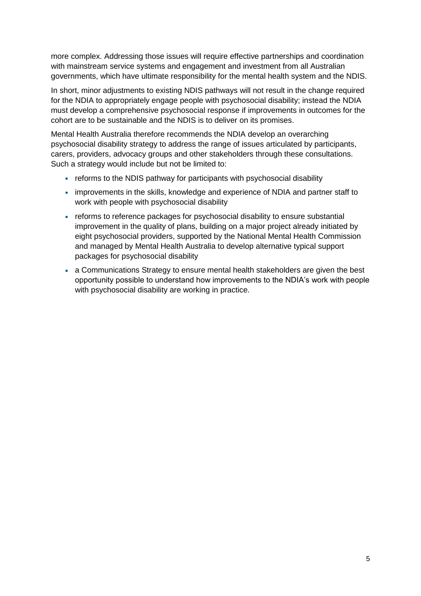more complex. Addressing those issues will require effective partnerships and coordination with mainstream service systems and engagement and investment from all Australian governments, which have ultimate responsibility for the mental health system and the NDIS.

In short, minor adjustments to existing NDIS pathways will not result in the change required for the NDIA to appropriately engage people with psychosocial disability; instead the NDIA must develop a comprehensive psychosocial response if improvements in outcomes for the cohort are to be sustainable and the NDIS is to deliver on its promises.

Mental Health Australia therefore recommends the NDIA develop an overarching psychosocial disability strategy to address the range of issues articulated by participants, carers, providers, advocacy groups and other stakeholders through these consultations. Such a strategy would include but not be limited to:

- reforms to the NDIS pathway for participants with psychosocial disability
- improvements in the skills, knowledge and experience of NDIA and partner staff to work with people with psychosocial disability
- reforms to reference packages for psychosocial disability to ensure substantial improvement in the quality of plans, building on a major project already initiated by eight psychosocial providers, supported by the National Mental Health Commission and managed by Mental Health Australia to develop alternative typical support packages for psychosocial disability
- a Communications Strategy to ensure mental health stakeholders are given the best opportunity possible to understand how improvements to the NDIA's work with people with psychosocial disability are working in practice.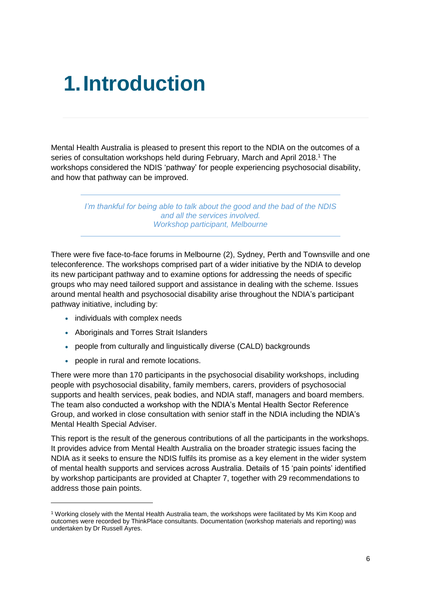## <span id="page-5-0"></span>**1.Introduction**

Mental Health Australia is pleased to present this report to the NDIA on the outcomes of a series of consultation workshops held during February, March and April 2018.<sup>1</sup> The workshops considered the NDIS 'pathway' for people experiencing psychosocial disability, and how that pathway can be improved.

> *I'm thankful for being able to talk about the good and the bad of the NDIS and all the services involved. Workshop participant, Melbourne*

There were five face-to-face forums in Melbourne (2), Sydney, Perth and Townsville and one teleconference. The workshops comprised part of a wider initiative by the NDIA to develop its new participant pathway and to examine options for addressing the needs of specific groups who may need tailored support and assistance in dealing with the scheme. Issues around mental health and psychosocial disability arise throughout the NDIA's participant pathway initiative, including by:

• individuals with complex needs

- Aboriginals and Torres Strait Islanders
- people from culturally and linguistically diverse (CALD) backgrounds
- people in rural and remote locations.

There were more than 170 participants in the psychosocial disability workshops, including people with psychosocial disability, family members, carers, providers of psychosocial supports and health services, peak bodies, and NDIA staff, managers and board members. The team also conducted a workshop with the NDIA's Mental Health Sector Reference Group, and worked in close consultation with senior staff in the NDIA including the NDIA's Mental Health Special Adviser.

This report is the result of the generous contributions of all the participants in the workshops. It provides advice from Mental Health Australia on the broader strategic issues facing the NDIA as it seeks to ensure the NDIS fulfils its promise as a key element in the wider system of mental health supports and services across Australia. Details of 15 'pain points' identified by workshop participants are provided at Chapter 7, together with 29 recommendations to address those pain points.

<sup>1</sup> Working closely with the Mental Health Australia team, the workshops were facilitated by Ms Kim Koop and outcomes were recorded by ThinkPlace consultants. Documentation (workshop materials and reporting) was undertaken by Dr Russell Ayres.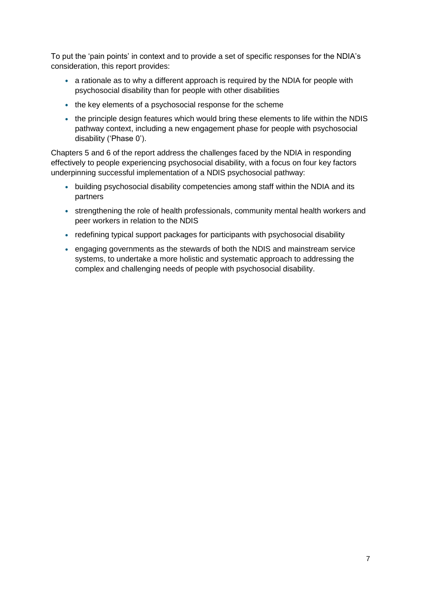To put the 'pain points' in context and to provide a set of specific responses for the NDIA's consideration, this report provides:

- a rationale as to why a different approach is required by the NDIA for people with psychosocial disability than for people with other disabilities
- the key elements of a psychosocial response for the scheme
- the principle design features which would bring these elements to life within the NDIS pathway context, including a new engagement phase for people with psychosocial disability ('Phase 0').

Chapters 5 and 6 of the report address the challenges faced by the NDIA in responding effectively to people experiencing psychosocial disability, with a focus on four key factors underpinning successful implementation of a NDIS psychosocial pathway:

- building psychosocial disability competencies among staff within the NDIA and its partners
- strengthening the role of health professionals, community mental health workers and peer workers in relation to the NDIS
- redefining typical support packages for participants with psychosocial disability
- engaging governments as the stewards of both the NDIS and mainstream service systems, to undertake a more holistic and systematic approach to addressing the complex and challenging needs of people with psychosocial disability.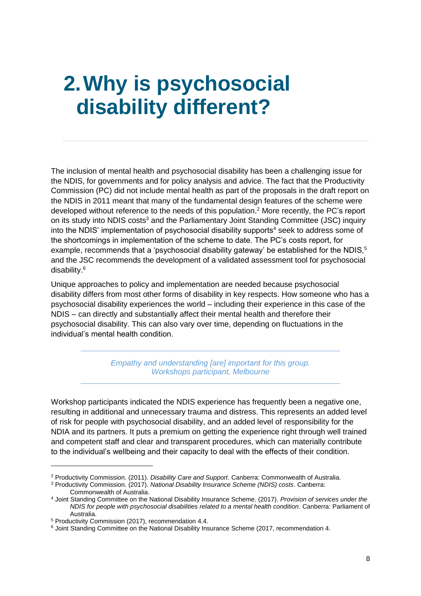## <span id="page-7-0"></span>**2.Why is psychosocial disability different?**

The inclusion of mental health and psychosocial disability has been a challenging issue for the NDIS, for governments and for policy analysis and advice. The fact that the Productivity Commission (PC) did not include mental health as part of the proposals in the draft report on the NDIS in 2011 meant that many of the fundamental design features of the scheme were developed without reference to the needs of this population. <sup>2</sup> More recently, the PC's report on its study into NDIS costs<sup>3</sup> and the Parliamentary Joint Standing Committee (JSC) inquiry into the NDIS' implementation of psychosocial disability supports<sup>4</sup> seek to address some of the shortcomings in implementation of the scheme to date. The PC's costs report, for example, recommends that a 'psychosocial disability gateway' be established for the NDIS, $5$ and the JSC recommends the development of a validated assessment tool for psychosocial disability.<sup>6</sup>

Unique approaches to policy and implementation are needed because psychosocial disability differs from most other forms of disability in key respects. How someone who has a psychosocial disability experiences the world – including their experience in this case of the NDIS – can directly and substantially affect their mental health and therefore their psychosocial disability. This can also vary over time, depending on fluctuations in the individual's mental health condition.

> *Empathy and understanding [are] important for this group. Workshops participant, Melbourne*

Workshop participants indicated the NDIS experience has frequently been a negative one, resulting in additional and unnecessary trauma and distress. This represents an added level of risk for people with psychosocial disability, and an added level of responsibility for the NDIA and its partners. It puts a premium on getting the experience right through well trained and competent staff and clear and transparent procedures, which can materially contribute to the individual's wellbeing and their capacity to deal with the effects of their condition.

 $\overline{a}$ 

<sup>2</sup> Productivity Commission. (2011). *Disability Care and Support*. Canberra: Commonwealth of Australia.

<sup>3</sup> Productivity Commission. (2017). *National Disability Insurance Scheme (NDIS) costs*. Canberra: Commonwealth of Australia.

<sup>4</sup> Joint Standing Committee on the National Disability Insurance Scheme. (2017). *Provision of services under the NDIS for people with psychosocial disabilities related to a mental health condition*. Canberra: Parliament of Australia.

<sup>5</sup> Productivity Commission (2017), recommendation 4.4.

<sup>&</sup>lt;sup>6</sup> Joint Standing Committee on the National Disability Insurance Scheme (2017, recommendation 4.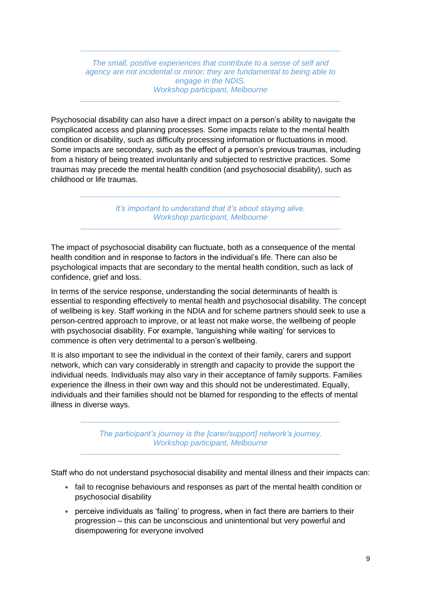*The small, positive experiences that contribute to a sense of self and agency are not incidental or minor; they are fundamental to being able to engage in the NDIS. Workshop participant, Melbourne*

Psychosocial disability can also have a direct impact on a person's ability to navigate the complicated access and planning processes. Some impacts relate to the mental health condition or disability, such as difficulty processing information or fluctuations in mood. Some impacts are secondary, such as the effect of a person's previous traumas, including from a history of being treated involuntarily and subjected to restrictive practices. Some traumas may precede the mental health condition (and psychosocial disability), such as childhood or life traumas.

> *It's important to understand that it's about staying alive. Workshop participant, Melbourne*

The impact of psychosocial disability can fluctuate, both as a consequence of the mental health condition and in response to factors in the individual's life. There can also be psychological impacts that are secondary to the mental health condition, such as lack of confidence, grief and loss.

In terms of the service response, understanding the social determinants of health is essential to responding effectively to mental health and psychosocial disability. The concept of wellbeing is key. Staff working in the NDIA and for scheme partners should seek to use a person-centred approach to improve, or at least not make worse, the wellbeing of people with psychosocial disability. For example, 'languishing while waiting' for services to commence is often very detrimental to a person's wellbeing.

It is also important to see the individual in the context of their family, carers and support network, which can vary considerably in strength and capacity to provide the support the individual needs. Individuals may also vary in their acceptance of family supports. Families experience the illness in their own way and this should not be underestimated. Equally, individuals and their families should not be blamed for responding to the effects of mental illness in diverse ways.

> *The participant's journey is the [carer/support] network's journey. Workshop participant, Melbourne*

Staff who do not understand psychosocial disability and mental illness and their impacts can:

- fail to recognise behaviours and responses as part of the mental health condition or psychosocial disability
- perceive individuals as 'failing' to progress, when in fact there are barriers to their progression – this can be unconscious and unintentional but very powerful and disempowering for everyone involved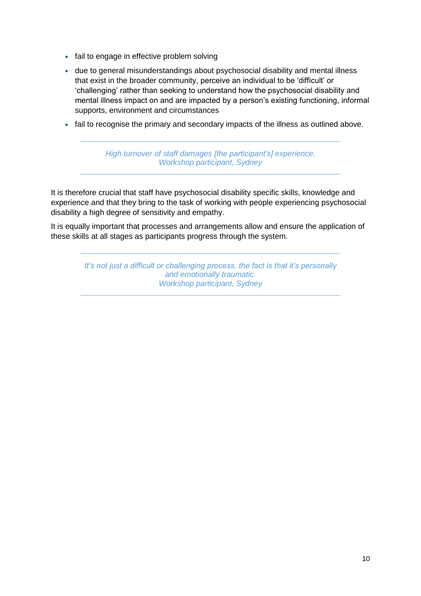- fail to engage in effective problem solving
- due to general misunderstandings about psychosocial disability and mental illness that exist in the broader community, perceive an individual to be 'difficult' or 'challenging' rather than seeking to understand how the psychosocial disability and mental illness impact on and are impacted by a person's existing functioning, informal supports, environment and circumstances
- fail to recognise the primary and secondary impacts of the illness as outlined above.

*High turnover of staff damages [the participant's] experience. Workshop participant, Sydney*

It is therefore crucial that staff have psychosocial disability specific skills, knowledge and experience and that they bring to the task of working with people experiencing psychosocial disability a high degree of sensitivity and empathy.

It is equally important that processes and arrangements allow and ensure the application of these skills at all stages as participants progress through the system.

> *It's not just a difficult or challenging process, the fact is that it's personally and emotionally traumatic. Workshop participant, Sydney*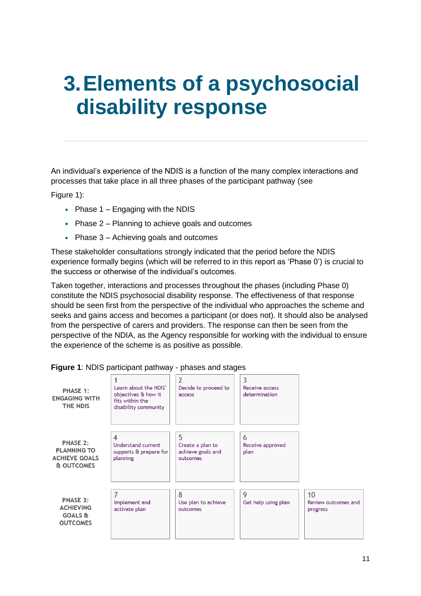## <span id="page-10-0"></span>**3.Elements of a psychosocial disability response**

An individual's experience of the NDIS is a function of the many complex interactions and processes that take place in all three phases of the participant pathway (see

[Figure](#page-10-1) 1):

- Phase  $1 -$  Engaging with the NDIS
- Phase 2 Planning to achieve goals and outcomes
- Phase 3 Achieving goals and outcomes

These stakeholder consultations strongly indicated that the period before the NDIS experience formally begins (which will be referred to in this report as 'Phase 0') is crucial to the success or otherwise of the individual's outcomes.

Taken together, interactions and processes throughout the phases (including Phase 0) constitute the NDIS psychosocial disability response. The effectiveness of that response should be seen first from the perspective of the individual who approaches the scheme and seeks and gains access and becomes a participant (or does not). It should also be analysed from the perspective of carers and providers. The response can then be seen from the perspective of the NDIA, as the Agency responsible for working with the individual to ensure the experience of the scheme is as positive as possible.

| PHASE 1:<br><b>ENGAGING WITH</b><br>THE NDIS                          | Learn about the NDIS'<br>objectives & how it<br>fits within the<br>disability community | 2<br>Decide to proceed to<br>access                    | 3<br>Receive access<br>determination |                                       |
|-----------------------------------------------------------------------|-----------------------------------------------------------------------------------------|--------------------------------------------------------|--------------------------------------|---------------------------------------|
| PHASE 2:<br><b>PLANNING TO</b><br><b>ACHIEVE GOALS</b><br>& OUTCOMES  | 4<br>Understand current<br>supports & prepare for<br>planning                           | 5<br>Create a plan to<br>achieve goals and<br>outcomes | 6<br>Receive approved<br>plan        |                                       |
| PHASE 3:<br><b>ACHIEVING</b><br><b>GOALS &amp;</b><br><b>OUTCOMES</b> | 7<br>Implement and<br>activate plan                                                     | 8<br>Use plan to achieve<br>outcomes                   | 9<br>Get help using plan             | 10<br>Review outcomes and<br>progress |

<span id="page-10-1"></span>

|  | Figure 1: NDIS participant pathway - phases and stages |  |  |
|--|--------------------------------------------------------|--|--|
|--|--------------------------------------------------------|--|--|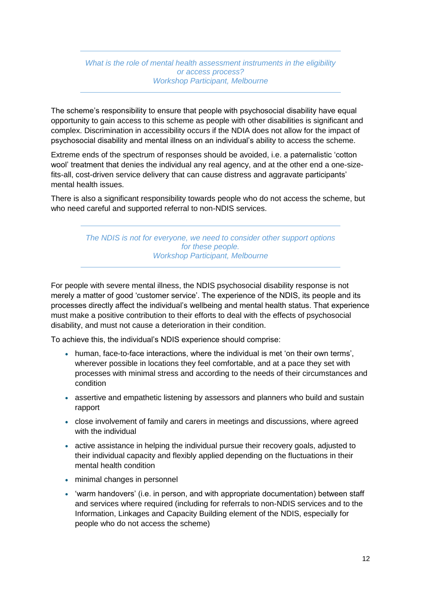*What is the role of mental health assessment instruments in the eligibility or access process? Workshop Participant, Melbourne*

The scheme's responsibility to ensure that people with psychosocial disability have equal opportunity to gain access to this scheme as people with other disabilities is significant and complex. Discrimination in accessibility occurs if the NDIA does not allow for the impact of psychosocial disability and mental illness on an individual's ability to access the scheme.

Extreme ends of the spectrum of responses should be avoided, i.e. a paternalistic 'cotton wool' treatment that denies the individual any real agency, and at the other end a one-sizefits-all, cost-driven service delivery that can cause distress and aggravate participants' mental health issues.

There is also a significant responsibility towards people who do not access the scheme, but who need careful and supported referral to non-NDIS services.

> *The NDIS is not for everyone, we need to consider other support options for these people. Workshop Participant, Melbourne*

For people with severe mental illness, the NDIS psychosocial disability response is not merely a matter of good 'customer service'. The experience of the NDIS, its people and its processes directly affect the individual's wellbeing and mental health status. That experience must make a positive contribution to their efforts to deal with the effects of psychosocial disability, and must not cause a deterioration in their condition.

To achieve this, the individual's NDIS experience should comprise:

- human, face-to-face interactions, where the individual is met 'on their own terms'. wherever possible in locations they feel comfortable, and at a pace they set with processes with minimal stress and according to the needs of their circumstances and condition
- assertive and empathetic listening by assessors and planners who build and sustain rapport
- close involvement of family and carers in meetings and discussions, where agreed with the individual
- active assistance in helping the individual pursue their recovery goals, adjusted to their individual capacity and flexibly applied depending on the fluctuations in their mental health condition
- minimal changes in personnel
- 'warm handovers' (i.e. in person, and with appropriate documentation) between staff and services where required (including for referrals to non-NDIS services and to the Information, Linkages and Capacity Building element of the NDIS, especially for people who do not access the scheme)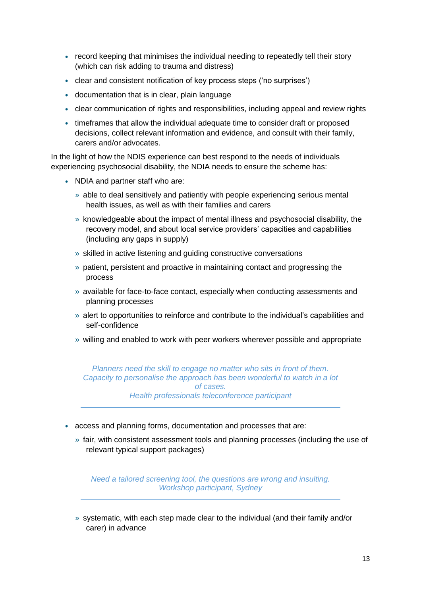- record keeping that minimises the individual needing to repeatedly tell their story (which can risk adding to trauma and distress)
- clear and consistent notification of key process steps ('no surprises')
- documentation that is in clear, plain language
- clear communication of rights and responsibilities, including appeal and review rights
- timeframes that allow the individual adequate time to consider draft or proposed decisions, collect relevant information and evidence, and consult with their family, carers and/or advocates.

In the light of how the NDIS experience can best respond to the needs of individuals experiencing psychosocial disability, the NDIA needs to ensure the scheme has:

- NDIA and partner staff who are:
	- » able to deal sensitively and patiently with people experiencing serious mental health issues, as well as with their families and carers
	- » knowledgeable about the impact of mental illness and psychosocial disability, the recovery model, and about local service providers' capacities and capabilities (including any gaps in supply)
	- » skilled in active listening and guiding constructive conversations
	- » patient, persistent and proactive in maintaining contact and progressing the process
	- » available for face-to-face contact, especially when conducting assessments and planning processes
	- » alert to opportunities to reinforce and contribute to the individual's capabilities and self-confidence
	- » willing and enabled to work with peer workers wherever possible and appropriate

*Planners need the skill to engage no matter who sits in front of them. Capacity to personalise the approach has been wonderful to watch in a lot of cases. Health professionals teleconference participant*

- access and planning forms, documentation and processes that are:
	- » fair, with consistent assessment tools and planning processes (including the use of relevant typical support packages)

*Need a tailored screening tool, the questions are wrong and insulting. Workshop participant, Sydney*

» systematic, with each step made clear to the individual (and their family and/or carer) in advance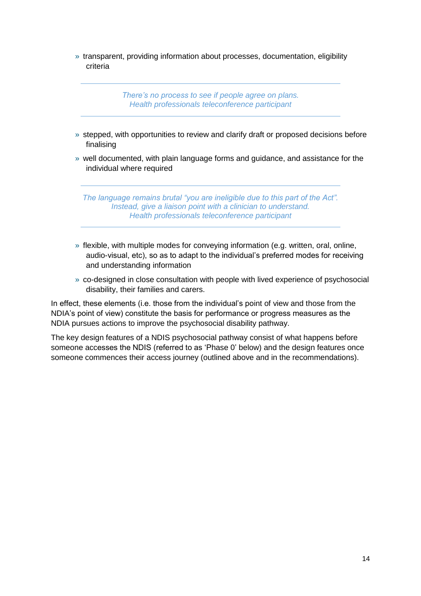» transparent, providing information about processes, documentation, eligibility criteria

> *There's no process to see if people agree on plans. Health professionals teleconference participant*

- » stepped, with opportunities to review and clarify draft or proposed decisions before finalising
- » well documented, with plain language forms and guidance, and assistance for the individual where required

*The language remains brutal "you are ineligible due to this part of the Act". Instead, give a liaison point with a clinician to understand. Health professionals teleconference participant*

- » flexible, with multiple modes for conveying information (e.g. written, oral, online, audio-visual, etc), so as to adapt to the individual's preferred modes for receiving and understanding information
- » co-designed in close consultation with people with lived experience of psychosocial disability, their families and carers.

In effect, these elements (i.e. those from the individual's point of view and those from the NDIA's point of view) constitute the basis for performance or progress measures as the NDIA pursues actions to improve the psychosocial disability pathway.

The key design features of a NDIS psychosocial pathway consist of what happens before someone accesses the NDIS (referred to as 'Phase 0' below) and the design features once someone commences their access journey (outlined above and in the recommendations).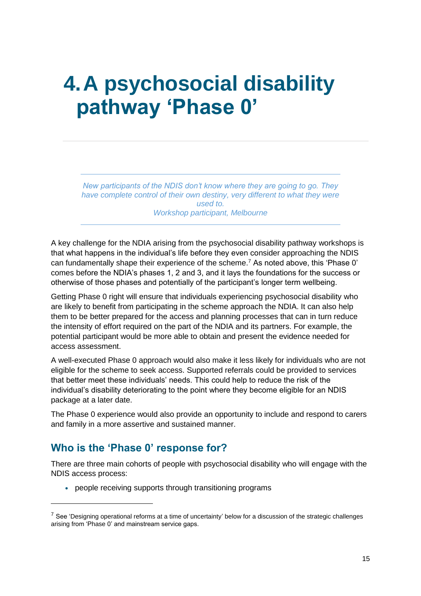## <span id="page-14-0"></span>**4.A psychosocial disability pathway 'Phase 0'**

*New participants of the NDIS don't know where they are going to go. They have complete control of their own destiny, very different to what they were used to. Workshop participant, Melbourne*

A key challenge for the NDIA arising from the psychosocial disability pathway workshops is that what happens in the individual's life before they even consider approaching the NDIS can fundamentally shape their experience of the scheme.<sup>7</sup> As noted above, this 'Phase 0' comes before the NDIA's phases 1, 2 and 3, and it lays the foundations for the success or otherwise of those phases and potentially of the participant's longer term wellbeing.

Getting Phase 0 right will ensure that individuals experiencing psychosocial disability who are likely to benefit from participating in the scheme approach the NDIA. It can also help them to be better prepared for the access and planning processes that can in turn reduce the intensity of effort required on the part of the NDIA and its partners. For example, the potential participant would be more able to obtain and present the evidence needed for access assessment.

A well-executed Phase 0 approach would also make it less likely for individuals who are not eligible for the scheme to seek access. Supported referrals could be provided to services that better meet these individuals' needs. This could help to reduce the risk of the individual's disability deteriorating to the point where they become eligible for an NDIS package at a later date.

The Phase 0 experience would also provide an opportunity to include and respond to carers and family in a more assertive and sustained manner.

### <span id="page-14-1"></span>**Who is the 'Phase 0' response for?**

 $\overline{a}$ 

There are three main cohorts of people with psychosocial disability who will engage with the NDIS access process:

people receiving supports through transitioning programs

 $7$  See 'Designing operational reforms at a time of uncertainty' below for a discussion of the strategic challenges arising from 'Phase 0' and mainstream service gaps.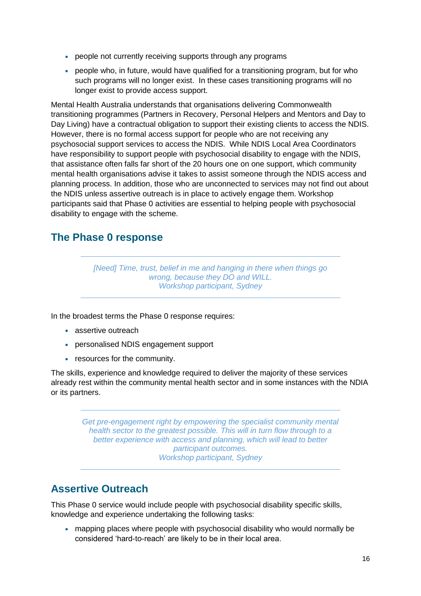- people not currently receiving supports through any programs
- people who, in future, would have qualified for a transitioning program, but for who such programs will no longer exist. In these cases transitioning programs will no longer exist to provide access support.

Mental Health Australia understands that organisations delivering Commonwealth transitioning programmes (Partners in Recovery, Personal Helpers and Mentors and Day to Day Living) have a contractual obligation to support their existing clients to access the NDIS. However, there is no formal access support for people who are not receiving any psychosocial support services to access the NDIS. While NDIS Local Area Coordinators have responsibility to support people with psychosocial disability to engage with the NDIS, that assistance often falls far short of the 20 hours one on one support, which community mental health organisations advise it takes to assist someone through the NDIS access and planning process. In addition, those who are unconnected to services may not find out about the NDIS unless assertive outreach is in place to actively engage them. Workshop participants said that Phase 0 activities are essential to helping people with psychosocial disability to engage with the scheme.

### <span id="page-15-0"></span>**The Phase 0 response**

*[Need] Time, trust, belief in me and hanging in there when things go wrong, because they DO and WILL. Workshop participant, Sydney*

In the broadest terms the Phase 0 response requires:

- assertive outreach
- personalised NDIS engagement support
- resources for the community.

The skills, experience and knowledge required to deliver the majority of these services already rest within the community mental health sector and in some instances with the NDIA or its partners.

*Get pre-engagement right by empowering the specialist community mental health sector to the greatest possible. This will in turn flow through to a better experience with access and planning, which will lead to better participant outcomes. Workshop participant, Sydney*

### <span id="page-15-1"></span>**Assertive Outreach**

This Phase 0 service would include people with psychosocial disability specific skills, knowledge and experience undertaking the following tasks:

mapping places where people with psychosocial disability who would normally be considered 'hard-to-reach' are likely to be in their local area.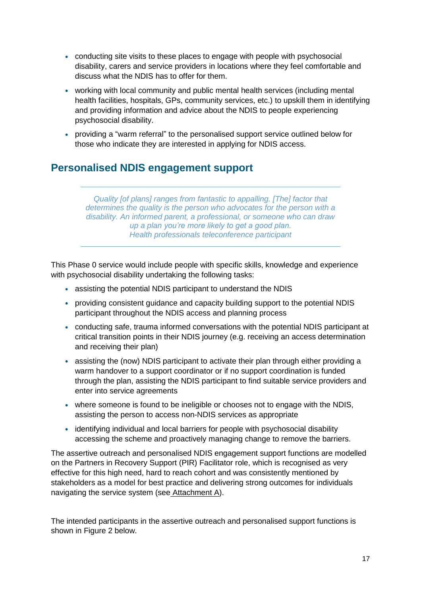- conducting site visits to these places to engage with people with psychosocial disability, carers and service providers in locations where they feel comfortable and discuss what the NDIS has to offer for them.
- working with local community and public mental health services (including mental health facilities, hospitals, GPs, community services, etc.) to upskill them in identifying and providing information and advice about the NDIS to people experiencing psychosocial disability.
- providing a "warm referral" to the personalised support service outlined below for those who indicate they are interested in applying for NDIS access.

### <span id="page-16-0"></span>**Personalised NDIS engagement support**

*Quality [of plans] ranges from fantastic to appalling. [The] factor that determines the quality is the person who advocates for the person with a disability. An informed parent, a professional, or someone who can draw up a plan you're more likely to get a good plan. Health professionals teleconference participant*

This Phase 0 service would include people with specific skills, knowledge and experience with psychosocial disability undertaking the following tasks:

- assisting the potential NDIS participant to understand the NDIS
- providing consistent guidance and capacity building support to the potential NDIS participant throughout the NDIS access and planning process
- conducting safe, trauma informed conversations with the potential NDIS participant at critical transition points in their NDIS journey (e.g. receiving an access determination and receiving their plan)
- assisting the (now) NDIS participant to activate their plan through either providing a warm handover to a support coordinator or if no support coordination is funded through the plan, assisting the NDIS participant to find suitable service providers and enter into service agreements
- where someone is found to be ineligible or chooses not to engage with the NDIS, assisting the person to access non-NDIS services as appropriate
- identifying individual and local barriers for people with psychosocial disability accessing the scheme and proactively managing change to remove the barriers.

The assertive outreach and personalised NDIS engagement support functions are modelled on the Partners in Recovery Support (PIR) Facilitator role, which is recognised as very effective for this high need, hard to reach cohort and was consistently mentioned by stakeholders as a model for best practice and delivering strong outcomes for individuals navigating the service system (see Attachment A).

The intended participants in the assertive outreach and personalised support functions is shown in Figure 2 below.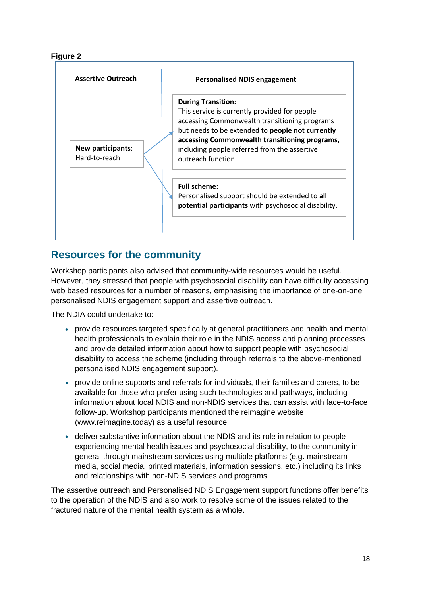#### **Figure 2**



### <span id="page-17-0"></span>**Resources for the community**

Workshop participants also advised that community-wide resources would be useful. However, they stressed that people with psychosocial disability can have difficulty accessing web based resources for a number of reasons, emphasising the importance of one-on-one personalised NDIS engagement support and assertive outreach.

The NDIA could undertake to:

- provide resources targeted specifically at general practitioners and health and mental health professionals to explain their role in the NDIS access and planning processes and provide detailed information about how to support people with psychosocial disability to access the scheme (including through referrals to the above-mentioned personalised NDIS engagement support).
- provide online supports and referrals for individuals, their families and carers, to be available for those who prefer using such technologies and pathways, including information about local NDIS and non-NDIS services that can assist with face-to-face follow-up. Workshop participants mentioned the reimagine website (www.reimagine.today) as a useful resource.
- deliver substantive information about the NDIS and its role in relation to people experiencing mental health issues and psychosocial disability, to the community in general through mainstream services using multiple platforms (e.g. mainstream media, social media, printed materials, information sessions, etc.) including its links and relationships with non-NDIS services and programs.

The assertive outreach and Personalised NDIS Engagement support functions offer benefits to the operation of the NDIS and also work to resolve some of the issues related to the fractured nature of the mental health system as a whole.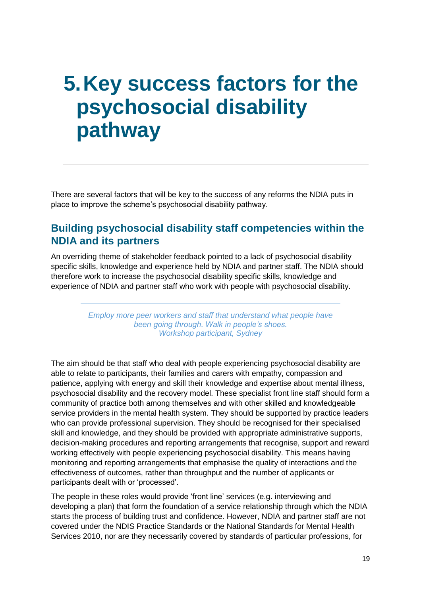## <span id="page-18-0"></span>**5.Key success factors for the psychosocial disability pathway**

There are several factors that will be key to the success of any reforms the NDIA puts in place to improve the scheme's psychosocial disability pathway.

### <span id="page-18-1"></span>**Building psychosocial disability staff competencies within the NDIA and its partners**

An overriding theme of stakeholder feedback pointed to a lack of psychosocial disability specific skills, knowledge and experience held by NDIA and partner staff. The NDIA should therefore work to increase the psychosocial disability specific skills, knowledge and experience of NDIA and partner staff who work with people with psychosocial disability.

> *Employ more peer workers and staff that understand what people have been going through. Walk in people's shoes. Workshop participant, Sydney*

The aim should be that staff who deal with people experiencing psychosocial disability are able to relate to participants, their families and carers with empathy, compassion and patience, applying with energy and skill their knowledge and expertise about mental illness, psychosocial disability and the recovery model. These specialist front line staff should form a community of practice both among themselves and with other skilled and knowledgeable service providers in the mental health system. They should be supported by practice leaders who can provide professional supervision. They should be recognised for their specialised skill and knowledge, and they should be provided with appropriate administrative supports, decision-making procedures and reporting arrangements that recognise, support and reward working effectively with people experiencing psychosocial disability. This means having monitoring and reporting arrangements that emphasise the quality of interactions and the effectiveness of outcomes, rather than throughput and the number of applicants or participants dealt with or 'processed'.

The people in these roles would provide 'front line' services (e.g. interviewing and developing a plan) that form the foundation of a service relationship through which the NDIA starts the process of building trust and confidence. However, NDIA and partner staff are not covered under the NDIS Practice Standards or the National Standards for Mental Health Services 2010, nor are they necessarily covered by standards of particular professions, for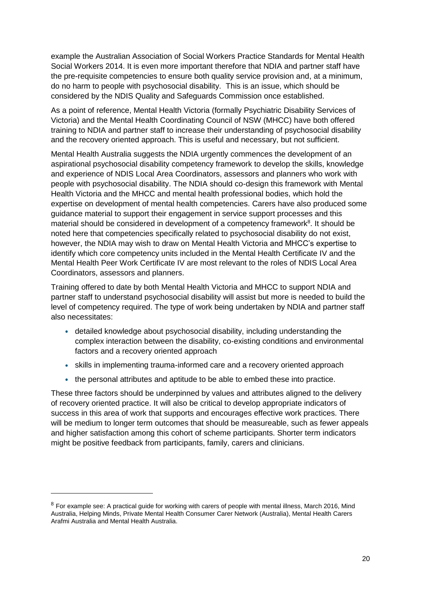example the Australian Association of Social Workers Practice Standards for Mental Health Social Workers 2014. It is even more important therefore that NDIA and partner staff have the pre-requisite competencies to ensure both quality service provision and, at a minimum, do no harm to people with psychosocial disability. This is an issue, which should be considered by the NDIS Quality and Safeguards Commission once established.

As a point of reference, Mental Health Victoria (formally Psychiatric Disability Services of Victoria) and the Mental Health Coordinating Council of NSW (MHCC) have both offered training to NDIA and partner staff to increase their understanding of psychosocial disability and the recovery oriented approach. This is useful and necessary, but not sufficient.

Mental Health Australia suggests the NDIA urgently commences the development of an aspirational psychosocial disability competency framework to develop the skills, knowledge and experience of NDIS Local Area Coordinators, assessors and planners who work with people with psychosocial disability. The NDIA should co-design this framework with Mental Health Victoria and the MHCC and mental health professional bodies, which hold the expertise on development of mental health competencies. Carers have also produced some guidance material to support their engagement in service support processes and this material should be considered in development of a competency framework<sup>8</sup>. It should be noted here that competencies specifically related to psychosocial disability do not exist, however, the NDIA may wish to draw on Mental Health Victoria and MHCC's expertise to identify which core competency units included in the Mental Health Certificate IV and the Mental Health Peer Work Certificate IV are most relevant to the roles of NDIS Local Area Coordinators, assessors and planners.

Training offered to date by both Mental Health Victoria and MHCC to support NDIA and partner staff to understand psychosocial disability will assist but more is needed to build the level of competency required. The type of work being undertaken by NDIA and partner staff also necessitates:

- detailed knowledge about psychosocial disability, including understanding the complex interaction between the disability, co-existing conditions and environmental factors and a recovery oriented approach
- skills in implementing trauma-informed care and a recovery oriented approach
- the personal attributes and aptitude to be able to embed these into practice.

These three factors should be underpinned by values and attributes aligned to the delivery of recovery oriented practice. It will also be critical to develop appropriate indicators of success in this area of work that supports and encourages effective work practices. There will be medium to longer term outcomes that should be measureable, such as fewer appeals and higher satisfaction among this cohort of scheme participants. Shorter term indicators might be positive feedback from participants, family, carers and clinicians.

 $\overline{a}$ 

<sup>&</sup>lt;sup>8</sup> For example see: A practical guide for working with carers of people with mental illness, March 2016, Mind Australia, Helping Minds, Private Mental Health Consumer Carer Network (Australia), Mental Health Carers Arafmi Australia and Mental Health Australia.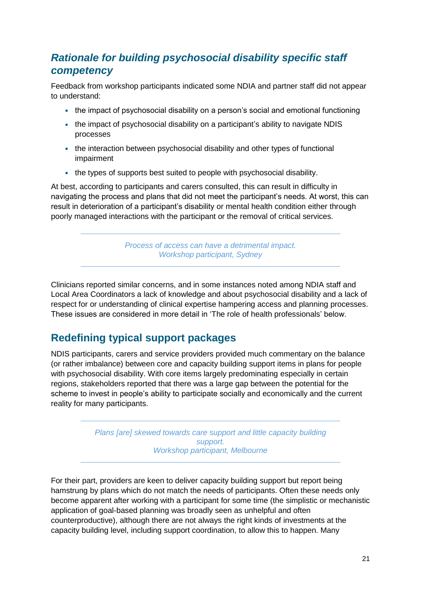### *Rationale for building psychosocial disability specific staff competency*

Feedback from workshop participants indicated some NDIA and partner staff did not appear to understand:

- the impact of psychosocial disability on a person's social and emotional functioning
- the impact of psychosocial disability on a participant's ability to navigate NDIS processes
- the interaction between psychosocial disability and other types of functional impairment
- the types of supports best suited to people with psychosocial disability.

At best, according to participants and carers consulted, this can result in difficulty in navigating the process and plans that did not meet the participant's needs. At worst, this can result in deterioration of a participant's disability or mental health condition either through poorly managed interactions with the participant or the removal of critical services.

> *Process of access can have a detrimental impact. Workshop participant, Sydney*

Clinicians reported similar concerns, and in some instances noted among NDIA staff and Local Area Coordinators a lack of knowledge and about psychosocial disability and a lack of respect for or understanding of clinical expertise hampering access and planning processes. These issues are considered in more detail in ['The role of health professionals'](#page-22-1) below.

### <span id="page-20-0"></span>**Redefining typical support packages**

NDIS participants, carers and service providers provided much commentary on the balance (or rather imbalance) between core and capacity building support items in plans for people with psychosocial disability. With core items largely predominating especially in certain regions, stakeholders reported that there was a large gap between the potential for the scheme to invest in people's ability to participate socially and economically and the current reality for many participants.

> *Plans [are] skewed towards care support and little capacity building support. Workshop participant, Melbourne*

For their part, providers are keen to deliver capacity building support but report being hamstrung by plans which do not match the needs of participants. Often these needs only become apparent after working with a participant for some time (the simplistic or mechanistic application of goal-based planning was broadly seen as unhelpful and often counterproductive), although there are not always the right kinds of investments at the capacity building level, including support coordination, to allow this to happen. Many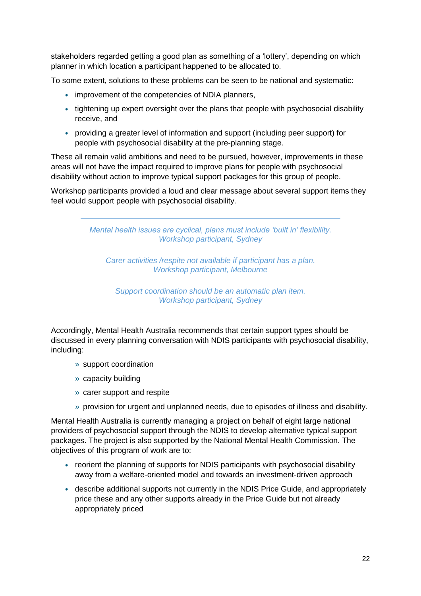stakeholders regarded getting a good plan as something of a 'lottery', depending on which planner in which location a participant happened to be allocated to.

To some extent, solutions to these problems can be seen to be national and systematic:

- improvement of the competencies of NDIA planners,
- tightening up expert oversight over the plans that people with psychosocial disability receive, and
- providing a greater level of information and support (including peer support) for people with psychosocial disability at the pre-planning stage.

These all remain valid ambitions and need to be pursued, however, improvements in these areas will not have the impact required to improve plans for people with psychosocial disability without action to improve typical support packages for this group of people.

Workshop participants provided a loud and clear message about several support items they feel would support people with psychosocial disability.

> *Mental health issues are cyclical, plans must include 'built in' flexibility. Workshop participant, Sydney*

*Carer activities /respite not available if participant has a plan. Workshop participant, Melbourne*

*Support coordination should be an automatic plan item. Workshop participant, Sydney*

Accordingly, Mental Health Australia recommends that certain support types should be discussed in every planning conversation with NDIS participants with psychosocial disability, including:

- » support coordination
- » capacity building
- » carer support and respite
- » provision for urgent and unplanned needs, due to episodes of illness and disability.

Mental Health Australia is currently managing a project on behalf of eight large national providers of psychosocial support through the NDIS to develop alternative typical support packages. The project is also supported by the National Mental Health Commission. The objectives of this program of work are to:

- reorient the planning of supports for NDIS participants with psychosocial disability away from a welfare-oriented model and towards an investment-driven approach
- describe additional supports not currently in the NDIS Price Guide, and appropriately price these and any other supports already in the Price Guide but not already appropriately priced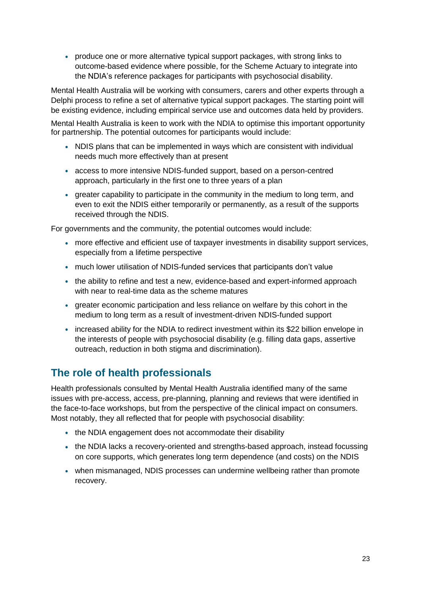• produce one or more alternative typical support packages, with strong links to outcome-based evidence where possible, for the Scheme Actuary to integrate into the NDIA's reference packages for participants with psychosocial disability.

Mental Health Australia will be working with consumers, carers and other experts through a Delphi process to refine a set of alternative typical support packages. The starting point will be existing evidence, including empirical service use and outcomes data held by providers.

Mental Health Australia is keen to work with the NDIA to optimise this important opportunity for partnership. The potential outcomes for participants would include:

- NDIS plans that can be implemented in ways which are consistent with individual needs much more effectively than at present
- access to more intensive NDIS-funded support, based on a person-centred approach, particularly in the first one to three years of a plan
- greater capability to participate in the community in the medium to long term, and even to exit the NDIS either temporarily or permanently, as a result of the supports received through the NDIS.

For governments and the community, the potential outcomes would include:

- more effective and efficient use of taxpayer investments in disability support services, especially from a lifetime perspective
- much lower utilisation of NDIS-funded services that participants don't value
- the ability to refine and test a new, evidence-based and expert-informed approach with near to real-time data as the scheme matures
- greater economic participation and less reliance on welfare by this cohort in the medium to long term as a result of investment-driven NDIS-funded support
- increased ability for the NDIA to redirect investment within its \$22 billion envelope in the interests of people with psychosocial disability (e.g. filling data gaps, assertive outreach, reduction in both stigma and discrimination).

### <span id="page-22-1"></span><span id="page-22-0"></span>**The role of health professionals**

Health professionals consulted by Mental Health Australia identified many of the same issues with pre-access, access, pre-planning, planning and reviews that were identified in the face-to-face workshops, but from the perspective of the clinical impact on consumers. Most notably, they all reflected that for people with psychosocial disability:

- the NDIA engagement does not accommodate their disability
- the NDIA lacks a recovery-oriented and strengths-based approach, instead focussing on core supports, which generates long term dependence (and costs) on the NDIS
- when mismanaged, NDIS processes can undermine wellbeing rather than promote recovery.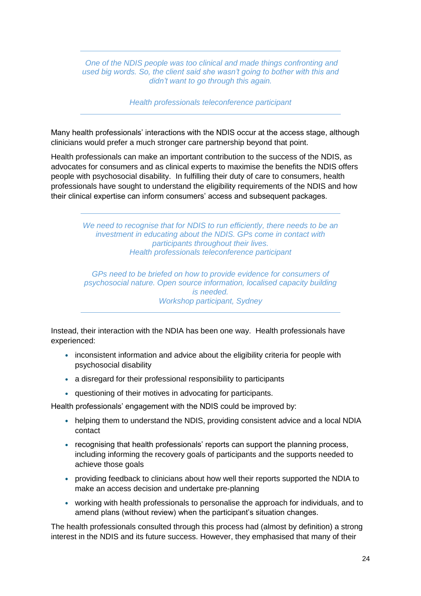*One of the NDIS people was too clinical and made things confronting and used big words. So, the client said she wasn't going to bother with this and didn't want to go through this again.*

*Health professionals teleconference participant*

Many health professionals' interactions with the NDIS occur at the access stage, although clinicians would prefer a much stronger care partnership beyond that point.

Health professionals can make an important contribution to the success of the NDIS, as advocates for consumers and as clinical experts to maximise the benefits the NDIS offers people with psychosocial disability. In fulfilling their duty of care to consumers, health professionals have sought to understand the eligibility requirements of the NDIS and how their clinical expertise can inform consumers' access and subsequent packages.

> *We need to recognise that for NDIS to run efficiently, there needs to be an investment in educating about the NDIS. GPs come in contact with participants throughout their lives. Health professionals teleconference participant*

> *GPs need to be briefed on how to provide evidence for consumers of psychosocial nature. Open source information, localised capacity building is needed. Workshop participant, Sydney*

Instead, their interaction with the NDIA has been one way. Health professionals have experienced:

- inconsistent information and advice about the eligibility criteria for people with psychosocial disability
- a disregard for their professional responsibility to participants
- questioning of their motives in advocating for participants.

Health professionals' engagement with the NDIS could be improved by:

- helping them to understand the NDIS, providing consistent advice and a local NDIA contact
- recognising that health professionals' reports can support the planning process, including informing the recovery goals of participants and the supports needed to achieve those goals
- providing feedback to clinicians about how well their reports supported the NDIA to make an access decision and undertake pre-planning
- working with health professionals to personalise the approach for individuals, and to amend plans (without review) when the participant's situation changes.

The health professionals consulted through this process had (almost by definition) a strong interest in the NDIS and its future success. However, they emphasised that many of their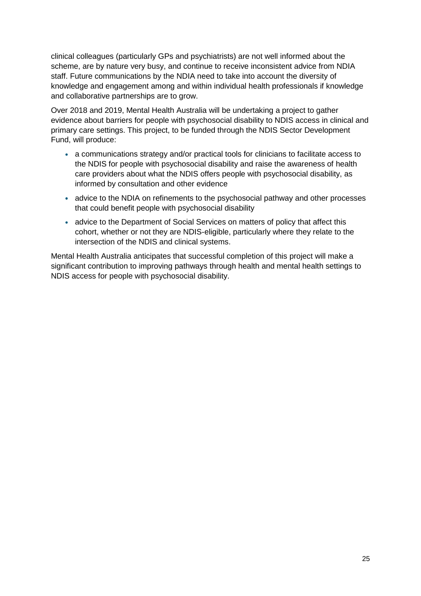clinical colleagues (particularly GPs and psychiatrists) are not well informed about the scheme, are by nature very busy, and continue to receive inconsistent advice from NDIA staff. Future communications by the NDIA need to take into account the diversity of knowledge and engagement among and within individual health professionals if knowledge and collaborative partnerships are to grow.

Over 2018 and 2019, Mental Health Australia will be undertaking a project to gather evidence about barriers for people with psychosocial disability to NDIS access in clinical and primary care settings. This project, to be funded through the NDIS Sector Development Fund, will produce:

- a communications strategy and/or practical tools for clinicians to facilitate access to the NDIS for people with psychosocial disability and raise the awareness of health care providers about what the NDIS offers people with psychosocial disability, as informed by consultation and other evidence
- advice to the NDIA on refinements to the psychosocial pathway and other processes that could benefit people with psychosocial disability
- advice to the Department of Social Services on matters of policy that affect this cohort, whether or not they are NDIS-eligible, particularly where they relate to the intersection of the NDIS and clinical systems.

Mental Health Australia anticipates that successful completion of this project will make a significant contribution to improving pathways through health and mental health settings to NDIS access for people with psychosocial disability.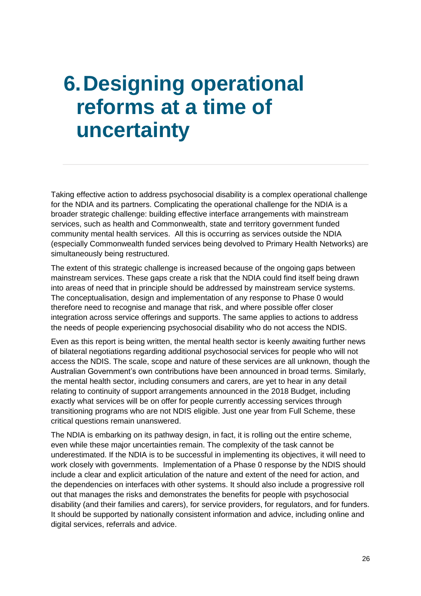## <span id="page-25-0"></span>**6.Designing operational reforms at a time of uncertainty**

Taking effective action to address psychosocial disability is a complex operational challenge for the NDIA and its partners. Complicating the operational challenge for the NDIA is a broader strategic challenge: building effective interface arrangements with mainstream services, such as health and Commonwealth, state and territory government funded community mental health services. All this is occurring as services outside the NDIA (especially Commonwealth funded services being devolved to Primary Health Networks) are simultaneously being restructured.

The extent of this strategic challenge is increased because of the ongoing gaps between mainstream services. These gaps create a risk that the NDIA could find itself being drawn into areas of need that in principle should be addressed by mainstream service systems. The conceptualisation, design and implementation of any response to Phase 0 would therefore need to recognise and manage that risk, and where possible offer closer integration across service offerings and supports. The same applies to actions to address the needs of people experiencing psychosocial disability who do not access the NDIS.

Even as this report is being written, the mental health sector is keenly awaiting further news of bilateral negotiations regarding additional psychosocial services for people who will not access the NDIS. The scale, scope and nature of these services are all unknown, though the Australian Government's own contributions have been announced in broad terms. Similarly, the mental health sector, including consumers and carers, are yet to hear in any detail relating to continuity of support arrangements announced in the 2018 Budget, including exactly what services will be on offer for people currently accessing services through transitioning programs who are not NDIS eligible. Just one year from Full Scheme, these critical questions remain unanswered.

The NDIA is embarking on its pathway design, in fact, it is rolling out the entire scheme, even while these major uncertainties remain. The complexity of the task cannot be underestimated. If the NDIA is to be successful in implementing its objectives, it will need to work closely with governments. Implementation of a Phase 0 response by the NDIS should include a clear and explicit articulation of the nature and extent of the need for action, and the dependencies on interfaces with other systems. It should also include a progressive roll out that manages the risks and demonstrates the benefits for people with psychosocial disability (and their families and carers), for service providers, for regulators, and for funders. It should be supported by nationally consistent information and advice, including online and digital services, referrals and advice.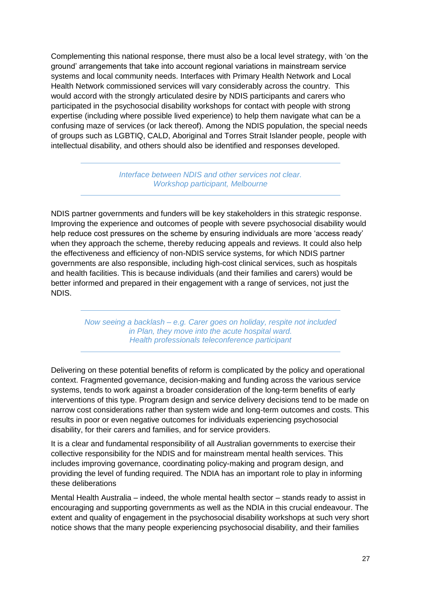Complementing this national response, there must also be a local level strategy, with 'on the ground' arrangements that take into account regional variations in mainstream service systems and local community needs. Interfaces with Primary Health Network and Local Health Network commissioned services will vary considerably across the country. This would accord with the strongly articulated desire by NDIS participants and carers who participated in the psychosocial disability workshops for contact with people with strong expertise (including where possible lived experience) to help them navigate what can be a confusing maze of services (or lack thereof). Among the NDIS population, the special needs of groups such as LGBTIQ, CALD, Aboriginal and Torres Strait Islander people, people with intellectual disability, and others should also be identified and responses developed.

> *Interface between NDIS and other services not clear. Workshop participant, Melbourne*

NDIS partner governments and funders will be key stakeholders in this strategic response. Improving the experience and outcomes of people with severe psychosocial disability would help reduce cost pressures on the scheme by ensuring individuals are more 'access ready' when they approach the scheme, thereby reducing appeals and reviews. It could also help the effectiveness and efficiency of non-NDIS service systems, for which NDIS partner governments are also responsible, including high-cost clinical services, such as hospitals and health facilities. This is because individuals (and their families and carers) would be better informed and prepared in their engagement with a range of services, not just the NDIS.

> *Now seeing a backlash – e.g. Carer goes on holiday, respite not included in Plan, they move into the acute hospital ward. Health professionals teleconference participant*

Delivering on these potential benefits of reform is complicated by the policy and operational context. Fragmented governance, decision-making and funding across the various service systems, tends to work against a broader consideration of the long-term benefits of early interventions of this type. Program design and service delivery decisions tend to be made on narrow cost considerations rather than system wide and long-term outcomes and costs. This results in poor or even negative outcomes for individuals experiencing psychosocial disability, for their carers and families, and for service providers.

It is a clear and fundamental responsibility of all Australian governments to exercise their collective responsibility for the NDIS and for mainstream mental health services. This includes improving governance, coordinating policy-making and program design, and providing the level of funding required. The NDIA has an important role to play in informing these deliberations

Mental Health Australia – indeed, the whole mental health sector – stands ready to assist in encouraging and supporting governments as well as the NDIA in this crucial endeavour. The extent and quality of engagement in the psychosocial disability workshops at such very short notice shows that the many people experiencing psychosocial disability, and their families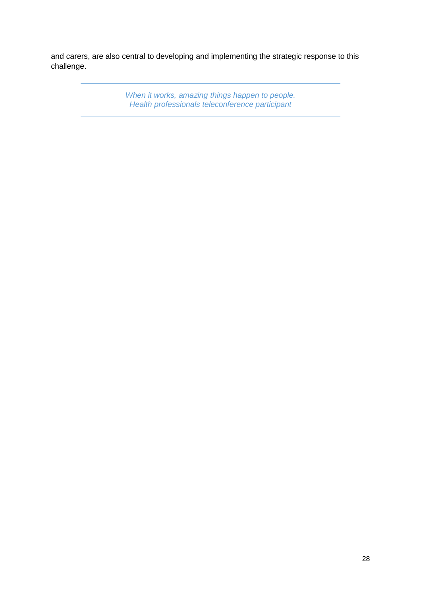and carers, are also central to developing and implementing the strategic response to this challenge.

> *When it works, amazing things happen to people. Health professionals teleconference participant*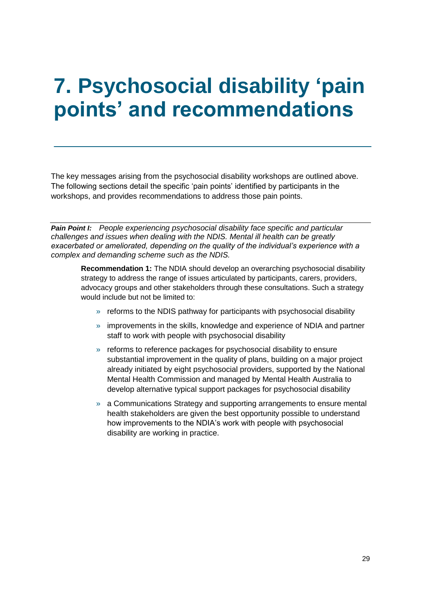## <span id="page-28-0"></span>**7. Psychosocial disability 'pain points' and recommendations**

The key messages arising from the psychosocial disability workshops are outlined above. The following sections detail the specific 'pain points' identified by participants in the workshops, and provides recommendations to address those pain points.

*Pain Point I: People experiencing psychosocial disability face specific and particular challenges and issues when dealing with the NDIS. Mental ill health can be greatly exacerbated or ameliorated, depending on the quality of the individual's experience with a complex and demanding scheme such as the NDIS.*

**Recommendation 1:** The NDIA should develop an overarching psychosocial disability strategy to address the range of issues articulated by participants, carers, providers, advocacy groups and other stakeholders through these consultations. Such a strategy would include but not be limited to:

- » reforms to the NDIS pathway for participants with psychosocial disability
- » improvements in the skills, knowledge and experience of NDIA and partner staff to work with people with psychosocial disability
- » reforms to reference packages for psychosocial disability to ensure substantial improvement in the quality of plans, building on a major project already initiated by eight psychosocial providers, supported by the National Mental Health Commission and managed by Mental Health Australia to develop alternative typical support packages for psychosocial disability
- » a Communications Strategy and supporting arrangements to ensure mental health stakeholders are given the best opportunity possible to understand how improvements to the NDIA's work with people with psychosocial disability are working in practice.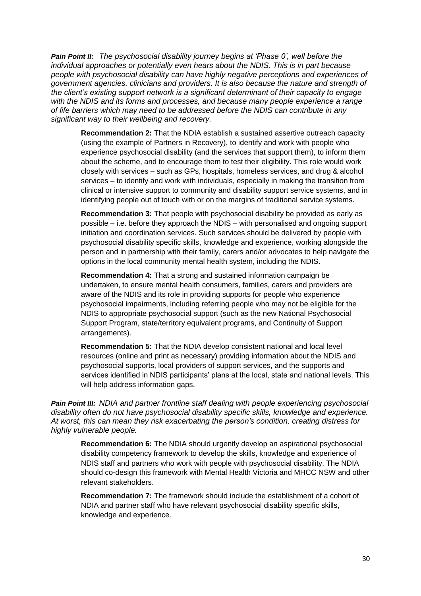*Pain Point II: The psychosocial disability journey begins at 'Phase 0', well before the individual approaches or potentially even hears about the NDIS. This is in part because people with psychosocial disability can have highly negative perceptions and experiences of government agencies, clinicians and providers. It is also because the nature and strength of the client's existing support network is a significant determinant of their capacity to engage with the NDIS and its forms and processes, and because many people experience a range of life barriers which may need to be addressed before the NDIS can contribute in any significant way to their wellbeing and recovery.*

**Recommendation 2:** That the NDIA establish a sustained assertive outreach capacity (using the example of Partners in Recovery), to identify and work with people who experience psychosocial disability (and the services that support them), to inform them about the scheme, and to encourage them to test their eligibility. This role would work closely with services – such as GPs, hospitals, homeless services, and drug & alcohol services – to identify and work with individuals, especially in making the transition from clinical or intensive support to community and disability support service systems, and in identifying people out of touch with or on the margins of traditional service systems.

**Recommendation 3:** That people with psychosocial disability be provided as early as possible – i.e. before they approach the NDIS – with personalised and ongoing support initiation and coordination services. Such services should be delivered by people with psychosocial disability specific skills, knowledge and experience, working alongside the person and in partnership with their family, carers and/or advocates to help navigate the options in the local community mental health system, including the NDIS.

**Recommendation 4:** That a strong and sustained information campaign be undertaken, to ensure mental health consumers, families, carers and providers are aware of the NDIS and its role in providing supports for people who experience psychosocial impairments, including referring people who may not be eligible for the NDIS to appropriate psychosocial support (such as the new National Psychosocial Support Program, state/territory equivalent programs, and Continuity of Support arrangements).

**Recommendation 5:** That the NDIA develop consistent national and local level resources (online and print as necessary) providing information about the NDIS and psychosocial supports, local providers of support services, and the supports and services identified in NDIS participants' plans at the local, state and national levels. This will help address information gaps.

*Pain Point III: NDIA and partner frontline staff dealing with people experiencing psychosocial disability often do not have psychosocial disability specific skills, knowledge and experience. At worst, this can mean they risk exacerbating the person's condition, creating distress for highly vulnerable people.*

**Recommendation 6:** The NDIA should urgently develop an aspirational psychosocial disability competency framework to develop the skills, knowledge and experience of NDIS staff and partners who work with people with psychosocial disability. The NDIA should co-design this framework with Mental Health Victoria and MHCC NSW and other relevant stakeholders.

**Recommendation 7:** The framework should include the establishment of a cohort of NDIA and partner staff who have relevant psychosocial disability specific skills, knowledge and experience.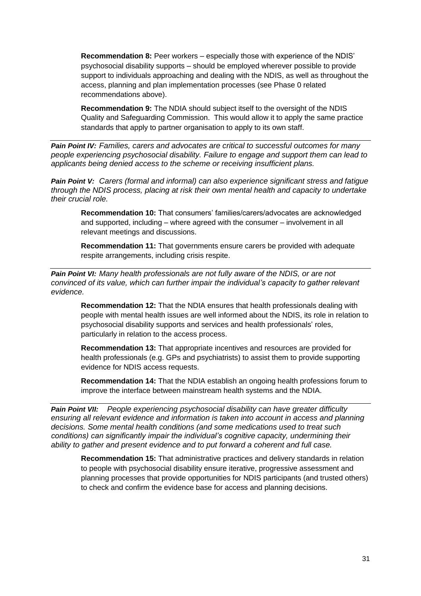**Recommendation 8:** Peer workers – especially those with experience of the NDIS' psychosocial disability supports – should be employed wherever possible to provide support to individuals approaching and dealing with the NDIS, as well as throughout the access, planning and plan implementation processes (see Phase 0 related recommendations above).

**Recommendation 9:** The NDIA should subject itself to the oversight of the NDIS Quality and Safeguarding Commission. This would allow it to apply the same practice standards that apply to partner organisation to apply to its own staff.

*Pain Point IV: Families, carers and advocates are critical to successful outcomes for many people experiencing psychosocial disability. Failure to engage and support them can lead to applicants being denied access to the scheme or receiving insufficient plans.*

*Pain Point V: Carers (formal and informal) can also experience significant stress and fatigue through the NDIS process, placing at risk their own mental health and capacity to undertake their crucial role.*

**Recommendation 10:** That consumers' families/carers/advocates are acknowledged and supported, including – where agreed with the consumer – involvement in all relevant meetings and discussions.

**Recommendation 11:** That governments ensure carers be provided with adequate respite arrangements, including crisis respite.

*Pain Point VI: Many health professionals are not fully aware of the NDIS, or are not convinced of its value, which can further impair the individual's capacity to gather relevant evidence.*

**Recommendation 12:** That the NDIA ensures that health professionals dealing with people with mental health issues are well informed about the NDIS, its role in relation to psychosocial disability supports and services and health professionals' roles, particularly in relation to the access process.

**Recommendation 13:** That appropriate incentives and resources are provided for health professionals (e.g. GPs and psychiatrists) to assist them to provide supporting evidence for NDIS access requests.

**Recommendation 14:** That the NDIA establish an ongoing health professions forum to improve the interface between mainstream health systems and the NDIA.

*Pain Point VII: People experiencing psychosocial disability can have greater difficulty ensuring all relevant evidence and information is taken into account in access and planning decisions. Some mental health conditions (and some medications used to treat such conditions) can significantly impair the individual's cognitive capacity, undermining their ability to gather and present evidence and to put forward a coherent and full case.*

**Recommendation 15:** That administrative practices and delivery standards in relation to people with psychosocial disability ensure iterative, progressive assessment and planning processes that provide opportunities for NDIS participants (and trusted others) to check and confirm the evidence base for access and planning decisions.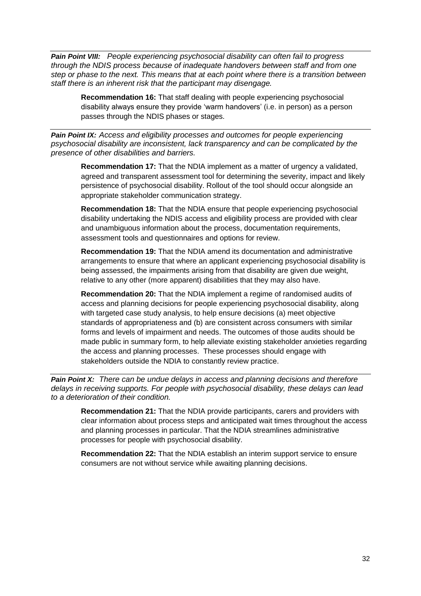*Pain Point VIII: People experiencing psychosocial disability can often fail to progress through the NDIS process because of inadequate handovers between staff and from one step or phase to the next. This means that at each point where there is a transition between staff there is an inherent risk that the participant may disengage.*

**Recommendation 16:** That staff dealing with people experiencing psychosocial disability always ensure they provide 'warm handovers' (i.e. in person) as a person passes through the NDIS phases or stages.

*Pain Point IX: Access and eligibility processes and outcomes for people experiencing psychosocial disability are inconsistent, lack transparency and can be complicated by the presence of other disabilities and barriers.*

**Recommendation 17:** That the NDIA implement as a matter of urgency a validated, agreed and transparent assessment tool for determining the severity, impact and likely persistence of psychosocial disability. Rollout of the tool should occur alongside an appropriate stakeholder communication strategy.

**Recommendation 18:** That the NDIA ensure that people experiencing psychosocial disability undertaking the NDIS access and eligibility process are provided with clear and unambiguous information about the process, documentation requirements, assessment tools and questionnaires and options for review.

**Recommendation 19:** That the NDIA amend its documentation and administrative arrangements to ensure that where an applicant experiencing psychosocial disability is being assessed, the impairments arising from that disability are given due weight, relative to any other (more apparent) disabilities that they may also have.

**Recommendation 20:** That the NDIA implement a regime of randomised audits of access and planning decisions for people experiencing psychosocial disability, along with targeted case study analysis, to help ensure decisions (a) meet objective standards of appropriateness and (b) are consistent across consumers with similar forms and levels of impairment and needs. The outcomes of those audits should be made public in summary form, to help alleviate existing stakeholder anxieties regarding the access and planning processes. These processes should engage with stakeholders outside the NDIA to constantly review practice.

*Pain Point X: There can be undue delays in access and planning decisions and therefore delays in receiving supports. For people with psychosocial disability, these delays can lead to a deterioration of their condition.* 

**Recommendation 21:** That the NDIA provide participants, carers and providers with clear information about process steps and anticipated wait times throughout the access and planning processes in particular. That the NDIA streamlines administrative processes for people with psychosocial disability.

**Recommendation 22:** That the NDIA establish an interim support service to ensure consumers are not without service while awaiting planning decisions.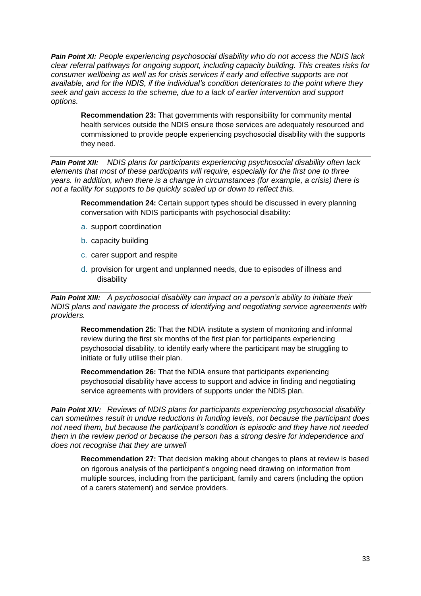*Pain Point XI: People experiencing psychosocial disability who do not access the NDIS lack clear referral pathways for ongoing support, including capacity building. This creates risks for consumer wellbeing as well as for crisis services if early and effective supports are not available, and for the NDIS, if the individual's condition deteriorates to the point where they seek and gain access to the scheme, due to a lack of earlier intervention and support options.*

**Recommendation 23:** That governments with responsibility for community mental health services outside the NDIS ensure those services are adequately resourced and commissioned to provide people experiencing psychosocial disability with the supports they need.

*Pain Point XII: NDIS plans for participants experiencing psychosocial disability often lack elements that most of these participants will require, especially for the first one to three years. In addition, when there is a change in circumstances (for example, a crisis) there is not a facility for supports to be quickly scaled up or down to reflect this.*

**Recommendation 24:** Certain support types should be discussed in every planning conversation with NDIS participants with psychosocial disability:

- a. support coordination
- b. capacity building
- c. carer support and respite
- d. provision for urgent and unplanned needs, due to episodes of illness and disability

*Pain Point XIII: A psychosocial disability can impact on a person's ability to initiate their NDIS plans and navigate the process of identifying and negotiating service agreements with providers.*

**Recommendation 25:** That the NDIA institute a system of monitoring and informal review during the first six months of the first plan for participants experiencing psychosocial disability, to identify early where the participant may be struggling to initiate or fully utilise their plan.

**Recommendation 26:** That the NDIA ensure that participants experiencing psychosocial disability have access to support and advice in finding and negotiating service agreements with providers of supports under the NDIS plan.

*Pain Point XIV: Reviews of NDIS plans for participants experiencing psychosocial disability can sometimes result in undue reductions in funding levels, not because the participant does not need them, but because the participant's condition is episodic and they have not needed them in the review period or because the person has a strong desire for independence and does not recognise that they are unwell*

**Recommendation 27:** That decision making about changes to plans at review is based on rigorous analysis of the participant's ongoing need drawing on information from multiple sources, including from the participant, family and carers (including the option of a carers statement) and service providers.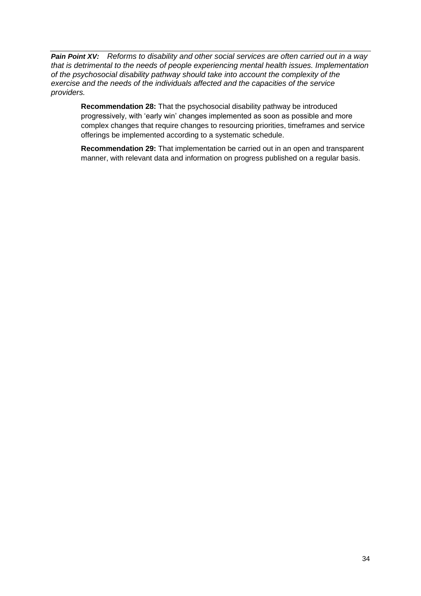*Pain Point XV: Reforms to disability and other social services are often carried out in a way that is detrimental to the needs of people experiencing mental health issues. Implementation of the psychosocial disability pathway should take into account the complexity of the exercise and the needs of the individuals affected and the capacities of the service providers.*

**Recommendation 28:** That the psychosocial disability pathway be introduced progressively, with 'early win' changes implemented as soon as possible and more complex changes that require changes to resourcing priorities, timeframes and service offerings be implemented according to a systematic schedule.

**Recommendation 29:** That implementation be carried out in an open and transparent manner, with relevant data and information on progress published on a regular basis.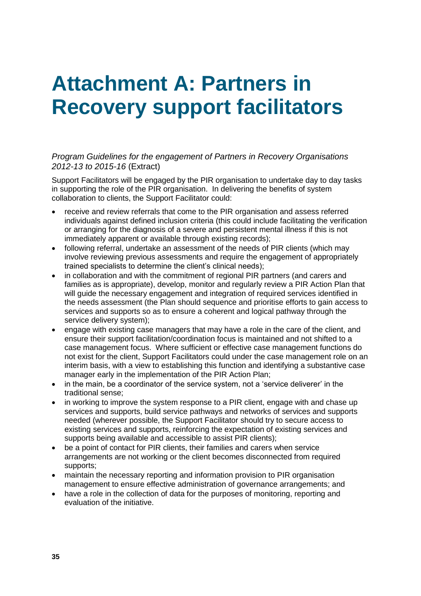## <span id="page-34-0"></span>**Attachment A: Partners in Recovery support facilitators**

*Program Guidelines for the engagement of Partners in Recovery Organisations 2012-13 to 2015-16* (Extract)

Support Facilitators will be engaged by the PIR organisation to undertake day to day tasks in supporting the role of the PIR organisation. In delivering the benefits of system collaboration to clients, the Support Facilitator could:

- receive and review referrals that come to the PIR organisation and assess referred individuals against defined inclusion criteria (this could include facilitating the verification or arranging for the diagnosis of a severe and persistent mental illness if this is not immediately apparent or available through existing records);
- following referral, undertake an assessment of the needs of PIR clients (which may involve reviewing previous assessments and require the engagement of appropriately trained specialists to determine the client's clinical needs);
- in collaboration and with the commitment of regional PIR partners (and carers and families as is appropriate), develop, monitor and regularly review a PIR Action Plan that will guide the necessary engagement and integration of required services identified in the needs assessment (the Plan should sequence and prioritise efforts to gain access to services and supports so as to ensure a coherent and logical pathway through the service delivery system);
- engage with existing case managers that may have a role in the care of the client, and ensure their support facilitation/coordination focus is maintained and not shifted to a case management focus. Where sufficient or effective case management functions do not exist for the client, Support Facilitators could under the case management role on an interim basis, with a view to establishing this function and identifying a substantive case manager early in the implementation of the PIR Action Plan;
- in the main, be a coordinator of the service system, not a 'service deliverer' in the traditional sense;
- in working to improve the system response to a PIR client, engage with and chase up services and supports, build service pathways and networks of services and supports needed (wherever possible, the Support Facilitator should try to secure access to existing services and supports, reinforcing the expectation of existing services and supports being available and accessible to assist PIR clients);
- be a point of contact for PIR clients, their families and carers when service arrangements are not working or the client becomes disconnected from required supports;
- maintain the necessary reporting and information provision to PIR organisation management to ensure effective administration of governance arrangements; and
- have a role in the collection of data for the purposes of monitoring, reporting and evaluation of the initiative.